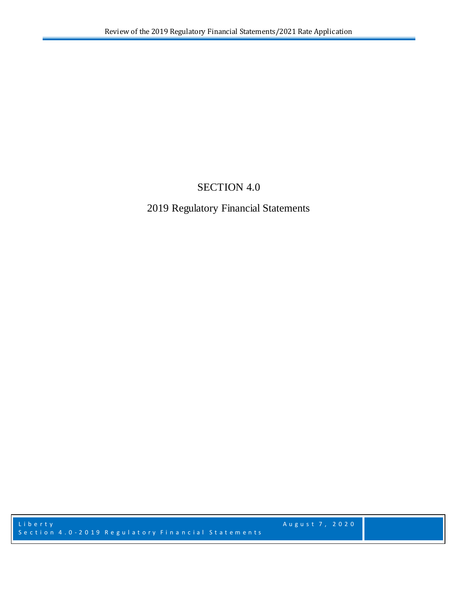## **SECTION 4.0**

# 2019 Regulatory Financial Statements

August 7, 2020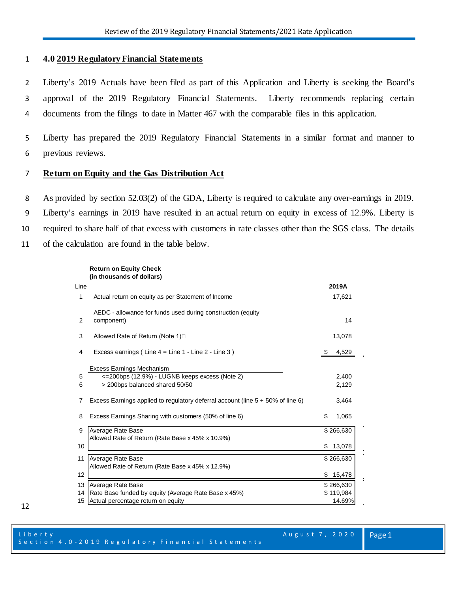### 1 **4.0 2019 Regulatory Financial Statements**

2 Liberty's 2019 Actuals have been filed as part of this Application and Liberty is seeking the Board's 3 approval of the 2019 Regulatory Financial Statements. Liberty recommends replacing certain 4 documents from the filings to date in Matter 467 with the comparable files in this application.

5 Liberty has prepared the 2019 Regulatory Financial Statements in a similar format and manner to 6 previous reviews.

#### 7 **Return on Equity and the Gas Distribution Act**

 As provided by section 52.03(2) of the GDA, Liberty is required to calculate any over-earnings in 2019. Liberty's earnings in 2019 have resulted in an actual return on equity in excess of 12.9%. Liberty is required to share half of that excess with customers in rate classes other than the SGS class. The details of the calculation are found in the table below.

#### **Return on Equity Check (in thousands of dollars)**

| Line |                                                                                    | 2019A        |
|------|------------------------------------------------------------------------------------|--------------|
| 1    | Actual return on equity as per Statement of Income                                 | 17,621       |
| 2    | AEDC - allowance for funds used during construction (equity<br>component)          | 14           |
| 3    | Allowed Rate of Return (Note 1)□                                                   | 13,078       |
| 4    | Excess earnings (Line $4 =$ Line $1 -$ Line $2 -$ Line $3$ )                       | \$<br>4,529  |
|      | <b>Excess Earnings Mechanism</b>                                                   |              |
| 5    | <=200bps (12.9%) - LUGNB keeps excess (Note 2)                                     | 2,400        |
| 6    | > 200bps balanced shared 50/50                                                     | 2,129        |
| 7    | Excess Earnings applied to regulatory deferral account (line $5 + 50\%$ of line 6) | 3,464        |
| 8    | Excess Earnings Sharing with customers (50% of line 6)                             | \$<br>1,065  |
| 9    | Average Rate Base<br>Allowed Rate of Return (Rate Base x 45% x 10.9%)              | \$266,630    |
| 10   |                                                                                    | \$13,078     |
| 11   | Average Rate Base<br>Allowed Rate of Return (Rate Base x 45% x 12.9%)              | \$266,630    |
| 12   |                                                                                    | \$<br>15,478 |
| 13   | Average Rate Base                                                                  | \$266,630    |
| 14   | Rate Base funded by equity (Average Rate Base x 45%)                               | \$119,984    |
| 15   | Actual percentage return on equity                                                 | 14.69%       |

ń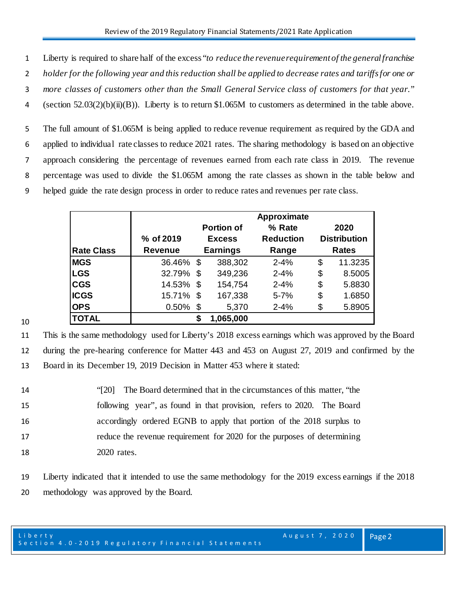1 Liberty is required to share half of the excess "*to reduce the revenue requirement of the general franchise* 

2 *holder for the following year and this reduction shall be applied to decrease rates and tariffs for one or* 

3 *more classes of customers other than the Small General Service class of customers for that year."* 

4 (section 52.03(2)(b)(ii)(B)). Liberty is to return \$1.065M to customers as determined in the table above.

 The full amount of \$1.065M is being applied to reduce revenue requirement as required by the GDA and applied to individual rate classes to reduce 2021 rates. The sharing methodology is based on an objective approach considering the percentage of revenues earned from each rate class in 2019. The revenue percentage was used to divide the \$1.065M among the rate classes as shown in the table below and helped guide the rate design process in order to reduce rates and revenues per rate class.

|                   | % of 2019      | <b>Portion of</b><br><b>Excess</b> |           | Approximate<br>% Rate<br><b>Reduction</b> | 2020<br><b>Distribution</b> |  |
|-------------------|----------------|------------------------------------|-----------|-------------------------------------------|-----------------------------|--|
| <b>Rate Class</b> | <b>Revenue</b> | <b>Earnings</b>                    |           | Range                                     | <b>Rates</b>                |  |
| <b>MGS</b>        | 36.46% \$      |                                    | 388,302   | $2 - 4%$                                  | \$<br>11.3235               |  |
| <b>LGS</b>        | 32.79%         | \$                                 | 349,236   | $2 - 4%$                                  | \$<br>8.5005                |  |
| <b>CGS</b>        | 14.53% \$      |                                    | 154,754   | $2 - 4%$                                  | \$<br>5.8830                |  |
| <b>ICGS</b>       | 15.71% \$      |                                    | 167,338   | $5 - 7%$                                  | \$<br>1.6850                |  |
| <b>OPS</b>        | $0.50\%$       | -\$                                | 5,370     | $2 - 4%$                                  | \$<br>5.8905                |  |
| <b>TOTAL</b>      |                |                                    | 1,065,000 |                                           |                             |  |

10

11 This is the same methodology used for Liberty's 2018 excess earnings which was approved by the Board 12 during the pre-hearing conference for Matter 443 and 453 on August 27, 2019 and confirmed by the 13 Board in its December 19, 2019 Decision in Matter 453 where it stated:

14 "[20] The Board determined that in the circumstances of this matter, "the following year", as found in that provision, refers to 2020. The Board accordingly ordered EGNB to apply that portion of the 2018 surplus to reduce the revenue requirement for 2020 for the purposes of determining 2020 rates.

19 Liberty indicated that it intended to use the same methodology for the 2019 excess earnings if the 2018 20 methodology was approved by the Board.